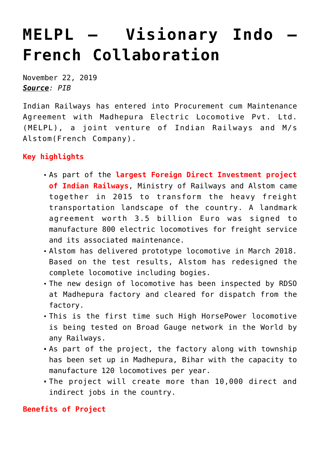## **[MELPL – Visionary Indo –](https://journalsofindia.com/melpl-visionary-indo-french-collaboration/) [French Collaboration](https://journalsofindia.com/melpl-visionary-indo-french-collaboration/)**

November 22, 2019 *Source: PIB*

Indian Railways has entered into Procurement cum Maintenance Agreement with Madhepura Electric Locomotive Pvt. Ltd. (MELPL), a joint venture of Indian Railways and M/s Alstom(French Company).

## **Key highlights**

- As part of the **largest Foreign Direct Investment project of Indian Railways**, Ministry of Railways and Alstom came together in 2015 to transform the heavy freight transportation landscape of the country. A landmark agreement worth 3.5 billion Euro was signed to manufacture 800 electric locomotives for freight service and its associated maintenance.
- Alstom has delivered prototype locomotive in March 2018. Based on the test results, Alstom has redesigned the complete locomotive including bogies.
- The new design of locomotive has been inspected by RDSO at Madhepura factory and cleared for dispatch from the factory.
- This is the first time such High HorsePower locomotive is being tested on Broad Gauge network in the World by any Railways.
- As part of the project, the factory along with township has been set up in Madhepura, Bihar with the capacity to manufacture 120 locomotives per year.
- The project will create more than 10,000 direct and indirect jobs in the country.

## **Benefits of Project**